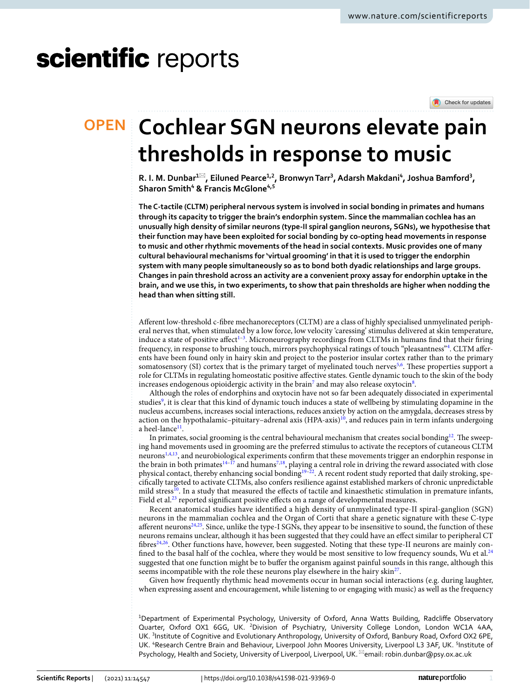# scientific reports



# **Cochlear SGN neurons elevate pain OPEN thresholds in response to music**

**R.** I. M. Dunbar<sup>1⊠</sup>, Eiluned Pearce<sup>1,2</sup>, Bronwyn Tarr<sup>3</sup>, Adarsh Makdani<sup>4</sup>, Joshua Bamford<sup>3</sup>, **Sharon Smith4 & Francis McGlone4,5**

**The C-tactile (CLTM) peripheral nervous system is involved in social bonding in primates and humans through its capacity to trigger the brain's endorphin system. Since the mammalian cochlea has an unusually high density of similar neurons (type-II spiral ganglion neurons, SGNs), we hypothesise that their function may have been exploited for social bonding by co-opting head movements in response to music and other rhythmic movements of the head in social contexts. Music provides one of many cultural behavioural mechanisms for 'virtual grooming' in that it is used to trigger the endorphin system with many people simultaneously so as to bond both dyadic relationships and large groups. Changes in pain threshold across an activity are a convenient proxy assay for endorphin uptake in the brain, and we use this, in two experiments, to show that pain thresholds are higher when nodding the head than when sitting still.**

Aferent low-threshold c-fbre mechanoreceptors (CLTM) are a class of highly specialised unmyelinated peripheral nerves that, when stimulated by a low force, low velocity 'caressing' stimulus delivered at skin temperature, induce a state of positive affect $^{1-3}$  $^{1-3}$  $^{1-3}$ . Microneurography recordings from CLTMs in humans find that their firing frequency, in response to brushing touch, mirrors psychophysical ratings of touch "pleasantness"<sup>[4](#page-5-2)</sup>. CLTM afferents have been found only in hairy skin and project to the posterior insular cortex rather than to the primary somatosensory (SI) cortex that is the primary target of myelinated touch nerves<sup>[5,](#page-5-3)[6](#page-5-4)</sup>. These properties support a role for CLTMs in regulating homeostatic positive afective states. Gentle dynamic touch to the skin of the body increases endogenous opioidergic activity in the brain $^7$  $^7$  and may also release oxytocin $^8$  $^8$ .

Although the roles of endorphins and oxytocin have not so far been adequately dissociated in experimental studies<sup>9</sup>, it is clear that this kind of dynamic touch induces a state of wellbeing by stimulating dopamine in the nucleus accumbens, increases social interactions, reduces anxiety by action on the amygdala, decreases stress by action on the hypothalamic–pituitary–adrenal axis  $(HPA-axis)<sup>10</sup>$  $(HPA-axis)<sup>10</sup>$  $(HPA-axis)<sup>10</sup>$ , and reduces pain in term infants undergoing a heel-lance<sup>11</sup>.

In primates, social grooming is the central behavioural mechanism that creates social bonding<sup>12</sup>. The sweeping hand movements used in grooming are the preferred stimulus to activate the receptors of cutaneous CLTM neuron[s1](#page-5-0),[4](#page-5-2),[13,](#page-5-11) and neurobiological experiments confrm that these movements trigger an endorphin response in the brain in both primates<sup>[14–](#page-5-12)[17](#page-5-13)</sup> and humans<sup>[7](#page-5-5),[18](#page-5-14)</sup>, playing a central role in driving the reward associated with close physical contact, thereby enhancing social bonding<sup>19-[22](#page-5-16)</sup>. A recent rodent study reported that daily stroking, specifcally targeted to activate CLTMs, also confers resilience against established markers of chronic unpredictable mild stress<sup>10</sup>. In a study that measured the effects of tactile and kinaesthetic stimulation in premature infants, Field et al.<sup>23</sup> reported significant positive effects on a range of developmental measures.

Recent anatomical studies have identifed a high density of unmyelinated type-II spiral-ganglion (SGN) neurons in the mammalian cochlea and the Organ of Corti that share a genetic signature with these C-type afferent neurons $24,25$  $24,25$  $24,25$ . Since, unlike the type-I SGNs, they appear to be insensitive to sound, the function of these neurons remains unclear, although it has been suggested that they could have an efect similar to peripheral CT fbres[24,](#page-5-18)[26.](#page-5-20) Other functions have, however, been suggested. Noting that these type-II neurons are mainly con-fined to the basal half of the cochlea, where they would be most sensitive to low frequency sounds, Wu et al.<sup>[24](#page-5-18)</sup> suggested that one function might be to bufer the organism against painful sounds in this range, although this seems incompatible with the role these neurons play elsewhere in the hairy skin<sup>27</sup>.

Given how frequently rhythmic head movements occur in human social interactions (e.g. during laughter, when expressing assent and encouragement, while listening to or engaging with music) as well as the frequency

1 Department of Experimental Psychology, University of Oxford, Anna Watts Building, Radclife Observatory Quarter, Oxford OX1 6GG, UK. <sup>2</sup>Division of Psychiatry, University College London, London WC1A 4AA, UK. <sup>3</sup>Institute of Cognitive and Evolutionary Anthropology, University of Oxford, Banbury Road, Oxford OX2 6PE, UK. <sup>4</sup>Research Centre Brain and Behaviour, Liverpool John Moores University, Liverpool L3 3AF, UK. <sup>5</sup>Institute of Psychology, Health and Society, University of Liverpool, Liverpool, UK. <sup>[2]</sup>email: robin.dunbar@psy.ox.ac.uk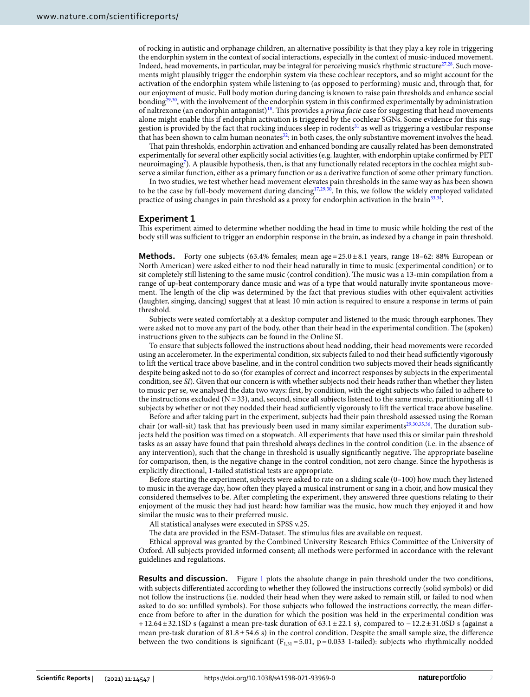of rocking in autistic and orphanage children, an alternative possibility is that they play a key role in triggering the endorphin system in the context of social interactions, especially in the context of music-induced movement. Indeed, head movements, in particular, may be integral for perceiving music's rhythmic structure<sup>27,28</sup>. Such movements might plausibly trigger the endorphin system via these cochlear receptors, and so might account for the activation of the endorphin system while listening to (as opposed to performing) music and, through that, for our enjoyment of music. Full body motion during dancing is known to raise pain thresholds and enhance social bondin[g29](#page-5-23)[,30,](#page-5-24) with the involvement of the endorphin system in this confrmed experimentally by administration of naltrexone (an endorphin antagonist[\)18.](#page-5-14) Tis provides a *prima facie* case for suggesting that head movements alone might enable this if endorphin activation is triggered by the cochlear SGNs. Some evidence for this suggestion is provided by the fact that rocking induces sleep in rodents<sup>31</sup> as well as triggering a vestibular response that has been shown to calm human neonates<sup>[32](#page-6-1)</sup>: in both cases, the only substantive movement involves the head.

Tat pain thresholds, endorphin activation and enhanced bonding are causally related has been demonstrated experimentally for several other explicitly social activities (e.g. laughter, with endorphin uptake confrmed by PET neuroimagin[g7](#page-5-5) ). A plausible hypothesis, then, is that any functionally related receptors in the cochlea might subserve a similar function, either as a primary function or as a derivative function of some other primary function.

In two studies, we test whether head movement elevates pain thresholds in the same way as has been shown to be the case by full-body movement during dancing $17,29,30$  $17,29,30$  $17,29,30$ . In this, we follow the widely employed validated practice of using changes in pain threshold as a proxy for endorphin activation in the brain<sup>[33](#page-6-2),[34](#page-6-3)</sup>.

### **Experiment 1**

Tis experiment aimed to determine whether nodding the head in time to music while holding the rest of the body still was sufficient to trigger an endorphin response in the brain, as indexed by a change in pain threshold.

**Methods.** Forty one subjects  $(63.4\%$  females; mean age  $=25.0\pm8.1$  years, range 18–62: 88% European or North American) were asked either to nod their head naturally in time to music (experimental condition) or to sit completely still listening to the same music (control condition). The music was a 13-min compilation from a range of up-beat contemporary dance music and was of a type that would naturally invite spontaneous movement. The length of the clip was determined by the fact that previous studies with other equivalent activities (laughter, singing, dancing) suggest that at least 10 min action is required to ensure a response in terms of pain threshold.

Subjects were seated comfortably at a desktop computer and listened to the music through earphones. They were asked not to move any part of the body, other than their head in the experimental condition. The (spoken) instructions given to the subjects can be found in the Online SI.

To ensure that subjects followed the instructions about head nodding, their head movements were recorded using an accelerometer. In the experimental condition, six subjects failed to nod their head sufficiently vigorously to lif the vertical trace above baseline, and in the control condition two subjects moved their heads signifcantly despite being asked not to do so (for examples of correct and incorrect responses by subjects in the experimental condition, see *SI*). Given that our concern is with whether subjects nod their heads rather than whether they listen to music per se, we analysed the data two ways: frst, by condition, with the eight subjects who failed to adhere to the instructions excluded ( $N=33$ ), and, second, since all subjects listened to the same music, partitioning all 41 subjects by whether or not they nodded their head sufficiently vigorously to lift the vertical trace above baseline.

Before and afer taking part in the experiment, subjects had their pain threshold assessed using the Roman chair (or wall-sit) task that has previously been used in many similar experiments<sup>[29](#page-5-23),[30](#page-5-24),[35,](#page-6-4)36</sup>. The duration subjects held the position was timed on a stopwatch. All experiments that have used this or similar pain threshold tasks as an assay have found that pain threshold always declines in the control condition (i.e. in the absence of any intervention), such that the change in threshold is usually significantly negative. The appropriate baseline for comparison, then, is the negative change in the control condition, not zero change. Since the hypothesis is explicitly directional, 1-tailed statistical tests are appropriate.

Before starting the experiment, subjects were asked to rate on a sliding scale (0–100) how much they listened to music in the average day, how ofen they played a musical instrument or sang in a choir, and how musical they considered themselves to be. Afer completing the experiment, they answered three questions relating to their enjoyment of the music they had just heard: how familiar was the music, how much they enjoyed it and how similar the music was to their preferred music.

All statistical analyses were executed in SPSS v.25.

The data are provided in the ESM-Dataset. The stimulus files are available on request.

Ethical approval was granted by the Combined University Research Ethics Committee of the University of Oxford. All subjects provided informed consent; all methods were performed in accordance with the relevant guidelines and regulations.

**Results and discussion.** Figure [1](#page-2-0) plots the absolute change in pain threshold under the two conditions, with subjects diferentiated according to whether they followed the instructions correctly (solid symbols) or did not follow the instructions (i.e. nodded their head when they were asked to remain still, or failed to nod when asked to do so: unflled symbols). For those subjects who followed the instructions correctly, the mean diference from before to afer in the duration for which the position was held in the experimental condition was +12.64±32.1SD s (against a mean pre-task duration of 63.1±22.1 s), compared to −12.2±31.0SD s (against a mean pre-task duration of 81.8±54.6 s) in the control condition. Despite the small sample size, the diference between the two conditions is significant ( $F_{1,31} = 5.01$ ,  $p = 0.033$  1-tailed): subjects who rhythmically nodded

2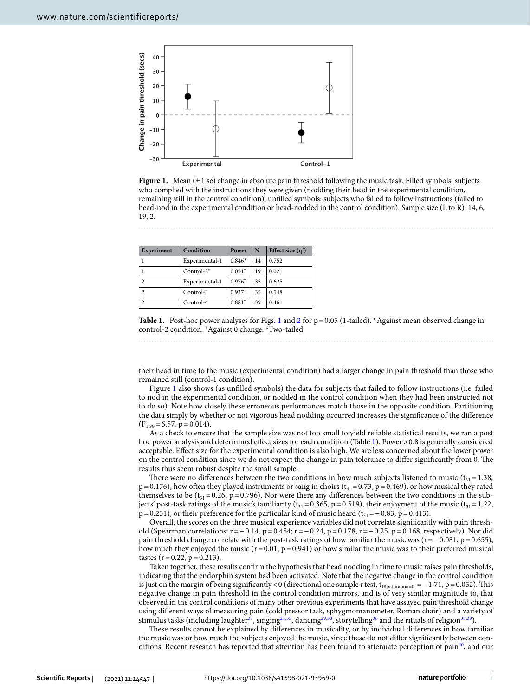

<span id="page-2-0"></span>Figure 1. Mean (±1 se) change in absolute pain threshold following the music task. Filled symbols: subjects who complied with the instructions they were given (nodding their head in the experimental condition, remaining still in the control condition); unflled symbols: subjects who failed to follow instructions (failed to head-nod in the experimental condition or head-nodded in the control condition). Sample size (L to R): 14, 6, 19, 2.

| <b>Experiment</b> | Condition               | Power                | N  | Effect size $(\eta^2)$ |
|-------------------|-------------------------|----------------------|----|------------------------|
|                   | Experimental-1          | $0.846*$             | 14 | 0.752                  |
|                   | Control- $2^{\ddagger}$ | $0.051$ <sup>†</sup> | 19 | 0.021                  |
|                   | Experimental-1          | $0.976^{\dagger}$    | 35 | 0.625                  |
|                   | Control-3               | $0.937$ <sup>†</sup> | 35 | 0.548                  |
|                   | Control-4               | $0.881$ <sup>1</sup> | 39 | 0.461                  |

<span id="page-2-1"></span>

their head in time to the music (experimental condition) had a larger change in pain threshold than those who remained still (control-1 condition).

Figure [1](#page-2-0) also shows (as unflled symbols) the data for subjects that failed to follow instructions (i.e. failed to nod in the experimental condition, or nodded in the control condition when they had been instructed not to do so). Note how closely these erroneous performances match those in the opposite condition. Partitioning the data simply by whether or not vigorous head nodding occurred increases the signifcance of the diference  $(F<sub>1,39</sub>=6.57, p=0.014).$ 

As a check to ensure that the sample size was not too small to yield reliable statistical results, we ran a post hoc power analysis and determined effect sizes for each condition (Table [1](#page-2-1)). Power > 0.8 is generally considered acceptable. Efect size for the experimental condition is also high. We are less concerned about the lower power on the control condition since we do not expect the change in pain tolerance to differ significantly from 0. The results thus seem robust despite the small sample.

There were no differences between the two conditions in how much subjects listened to music ( $t_{31}$  = 1.38,  $p=0.176$ ), how often they played instruments or sang in choirs ( $t_{31}=0.73$ ,  $p=0.469$ ), or how musical they rated themselves to be ( $t_{31}$  = 0.26, p = 0.796). Nor were there any differences between the two conditions in the subjects' post-task ratings of the music's familiarity ( $t_{31}=0.365$ , p=0.519), their enjoyment of the music ( $t_{31}=1.22$ , p=0.231), or their preference for the particular kind of music heard ( $t_{31}$ =−0.83, p=0.413).

Overall, the scores on the three musical experience variables did not correlate signifcantly with pain threshold (Spearman correlations: r=−0.14, p=0.454; r=−0.24, p=0.178, r=−0.25, p=0.168, respectively). Nor did pain threshold change correlate with the post-task ratings of how familiar the music was (r=−0.081, p=0.655), how much they enjoyed the music ( $r=0.01$ ,  $p=0.941$ ) or how similar the music was to their preferred musical tastes  $(r=0.22, p=0.213)$ .

Taken together, these results confrm the hypothesis that head nodding in time to music raises pain thresholds, indicating that the endorphin system had been activated. Note that the negative change in the control condition is just on the margin of being significantly < 0 (directional one sample *t* test, t<sub>18</sub> $\beta$ <sub>duration=0</sub> $=$  -1.71, p=0.052). This negative change in pain threshold in the control condition mirrors, and is of very similar magnitude to, that observed in the control conditions of many other previous experiments that have assayed pain threshold change using diferent ways of measuring pain (cold pressor task, sphygmomanometer, Roman chair) and a variety of stimulus tasks (including laughter<sup>[37](#page-6-6)</sup>, singing<sup>[21,](#page-5-25)35</sup>, dancing<sup>[29](#page-5-23),[30](#page-5-24)</sup>, storytelling<sup>[36](#page-6-5)</sup> and the rituals of religion<sup>[38](#page-6-7),[39](#page-6-8)</sup>).

These results cannot be explained by differences in musicality, or by individual differences in how familiar the music was or how much the subjects enjoyed the music, since these do not difer signifcantly between conditions. Recent research has reported that attention has been found to attenuate perception of pain<sup>40</sup>, and our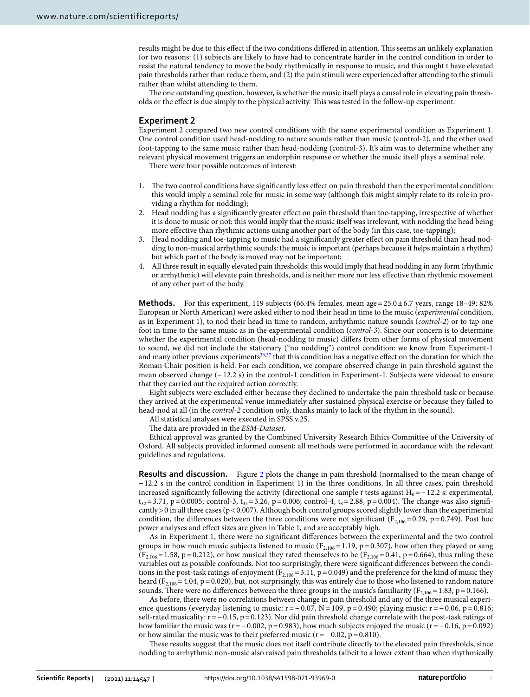results might be due to this efect if the two conditions difered in attention. Tis seems an unlikely explanation for two reasons: (1) subjects are likely to have had to concentrate harder in the control condition in order to resist the natural tendency to move the body rhythmically in response to music, and this ought t have elevated pain thresholds rather than reduce them, and (2) the pain stimuli were experienced afer attending to the stimuli rather than whilst attending to them.

The one outstanding question, however, is whether the music itself plays a causal role in elevating pain thresholds or the efect is due simply to the physical activity. Tis was tested in the follow-up experiment.

## **Experiment 2**

Experiment 2 compared two new control conditions with the same experimental condition as Experiment 1. One control condition used head-nodding to nature sounds rather than music (control-2), and the other used foot-tapping to the same music rather than head-nodding (control-3). It's aim was to determine whether any relevant physical movement triggers an endorphin response or whether the music itself plays a seminal role.

There were four possible outcomes of interest:

- 1. The two control conditions have significantly less effect on pain threshold than the experimental condition: this would imply a seminal role for music in some way (although this might simply relate to its role in providing a rhythm for nodding);
- 2. Head nodding has a signifcantly greater efect on pain threshold than toe-tapping, irrespective of whether it is done to music or not: this would imply that the music itself was irrelevant, with nodding the head being more efective than rhythmic actions using another part of the body (in this case, toe-tapping);
- 3. Head nodding and toe-tapping to music had a signifcantly greater efect on pain threshold than head nodding to non-musical arrhythmic sounds: the music is important (perhaps because it helps maintain a rhythm) but which part of the body is moved may not be important;
- 4. All three result in equally elevated pain thresholds: this would imply that head nodding in any form (rhythmic or arrhythmic) will elevate pain thresholds, and is neither more nor less efective than rhythmic movement of any other part of the body.

**Methods.** For this experiment, 119 subjects  $(66.4\% \text{ females}, \text{mean age} = 25.0 \pm 6.7 \text{ years}, \text{range 18–49}; 82\%$ European or North American) were asked either to nod their head in time to the music (*experimental* condition, as in Experiment 1), to nod their head in time to random, arrhythmic nature sounds (*control-2*) or to tap one foot in time to the same music as in the experimental condition (*control-3*). Since our concern is to determine whether the experimental condition (head-nodding to music) difers from other forms of physical movement to sound, we did not include the stationary ("no nodding") control condition: we know from Experiment-1 and many other previous experiments<sup>36,37</sup> that this condition has a negative effect on the duration for which the Roman Chair position is held. For each condition, we compare observed change in pain threshold against the mean observed change (−12.2 s) in the control-1 condition in Experiment-1. Subjects were videoed to ensure that they carried out the required action correctly.

Eight subjects were excluded either because they declined to undertake the pain threshold task or because they arrived at the experimental venue immediately afer sustained physical exercise or because they failed to head-nod at all (in the *control-2* condition only, thanks mainly to lack of the rhythm in the sound).

All statistical analyses were executed in SPSS v.25.

The data are provided in the *ESM-Dataset*.

Ethical approval was granted by the Combined University Research Ethics Committee of the University of Oxford. All subjects provided informed consent; all methods were performed in accordance with the relevant guidelines and regulations.

**Results and discussion.** Figure [2](#page-4-0) plots the change in pain threshold (normalised to the mean change of −12.2 s in the control condition in Experiment 1) in the three conditions. In all three cases, pain threshold increased significantly following the activity (directional one sample *t* tests against  $H_0 = −12.2$  s: experimental,  $t_{32}$ =3.71, p=0.0005; control-3,  $t_{32}$ =3.26, p=0.006; control-4,  $t_8$ =2.88, p=0.004). The change was also significantly  $>0$  in all three cases (p < 0.007). Although both control groups scored slightly lower than the experimental condition, the differences between the three conditions were not significant ( $F_{2,106}=0.29$ , p=0.749). Post hoc power analyses and efect sizes are given in Table [1](#page-2-1), and are acceptably high.

As in Experiment 1, there were no signifcant diferences between the experimental and the two control groups in how much music subjects listened to music ( $F_{2,106}$  = 1.19, p = 0.307), how often they played or sang  $(F_{2,106} = 1.58, p = 0.212)$ , or how musical they rated themselves to be  $(F_{2,106} = 0.41, p = 0.664)$ , thus ruling these variables out as possible confounds. Not too surprisingly, there were signifcant diferences between the conditions in the post-task ratings of enjoyment ( $F_{2,106}=3.11$ ,  $p=0.049$ ) and the preference for the kind of music they heard ( $F_{2,106}$  = 4.04, p = 0.020), but, not surprisingly, this was entirely due to those who listened to random nature sounds. There were no differences between the three groups in the music's familiarity ( $F_{2,106}=1.83$ , p=0.166).

As before, there were no correlations between change in pain threshold and any of the three musical experience questions (everyday listening to music: r = −0.07, N = 109, p = 0.490; playing music: r = −0.06, p = 0.816; self-rated musicality: r=−0.15, p=0.123). Nor did pain threshold change correlate with the post-task ratings of how familiar the music was (r=−0.002, p=0.983), how much subjects enjoyed the music (r=−0.16, p=0.092) or how similar the music was to their preferred music ( $r = −0.02$ ,  $p = 0.810$ ).

These results suggest that the music does not itself contribute directly to the elevated pain thresholds, since nodding to arrhythmic non-music also raised pain thresholds (albeit to a lower extent than when rhythmically

4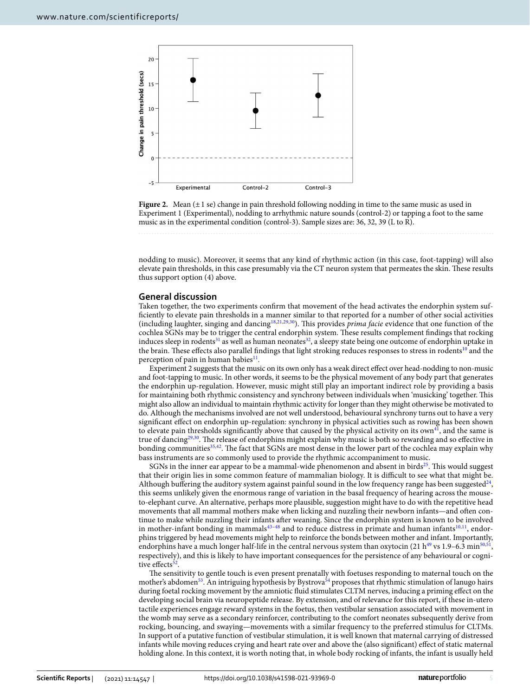

<span id="page-4-0"></span>

nodding to music). Moreover, it seems that any kind of rhythmic action (in this case, foot-tapping) will also elevate pain thresholds, in this case presumably via the CT neuron system that permeates the skin. These results thus support option (4) above.

### **General discussion**

Taken together, the two experiments confrm that movement of the head activates the endorphin system suffciently to elevate pain thresholds in a manner similar to that reported for a number of other social activities (including laughter, singing and dancin[g18](#page-5-14)[,21](#page-5-25)[,29](#page-5-23)[,30](#page-5-24)). Tis provides *prima facie* evidence that one function of the cochlea SGNs may be to trigger the central endorphin system. These results complement findings that rocking induces sleep in rodents<sup>31</sup> as well as human neonates<sup>[32](#page-6-1)</sup>, a sleepy state being one outcome of endorphin uptake in the brain. These effects also parallel findings that light stroking reduces responses to stress in rodents<sup>10</sup> and the perception of pain in human babies $11$ .

Experiment 2 suggests that the music on its own only has a weak direct efect over head-nodding to non-music and foot-tapping to music. In other words, it seems to be the physical movement of any body part that generates the endorphin up-regulation. However, music might still play an important indirect role by providing a basis for maintaining both rhythmic consistency and synchrony between individuals when 'musicking' together. Tis might also allow an individual to maintain rhythmic activity for longer than they might otherwise be motivated to do. Although the mechanisms involved are not well understood, behavioural synchrony turns out to have a very signifcant efect on endorphin up-regulation: synchrony in physical activities such as rowing has been shown to elevate pain thresholds significantly above that caused by the physical activity on its  $own<sup>41</sup>$ , and the same is true of dancing<sup>[29,](#page-5-23)30</sup>. The release of endorphins might explain why music is both so rewarding and so effective in bonding communities<sup>35,42</sup>. The fact that SGNs are most dense in the lower part of the cochlea may explain why bass instruments are so commonly used to provide the rhythmic accompaniment to music.

SGNs in the inner ear appear to be a mammal-wide phenomenon and absent in birds $^{25}$  $^{25}$  $^{25}$ . This would suggest that their origin lies in some common feature of mammalian biology. It is difcult to see what that might be. Although buffering the auditory system against painful sound in the low frequency range has been suggested $24$ , this seems unlikely given the enormous range of variation in the basal frequency of hearing across the mouseto-elephant curve. An alternative, perhaps more plausible, suggestion might have to do with the repetitive head movements that all mammal mothers make when licking and nuzzling their newborn infants—and ofen continue to make while nuzzling their infants afer weaning. Since the endorphin system is known to be involved in mother-infant bonding in mammals $43-48$  and to reduce distress in primate and human infants $10,11$  $10,11$ , endorphins triggered by head movements might help to reinforce the bonds between mother and infant. Importantly, endorphins have a much longer half-life in the central nervous system than oxytocin (21 h<sup>49</sup> vs 1.9–6.3 min<sup>50[,51](#page-6-16)</sup>, respectively), and this is likely to have important consequences for the persistence of any behavioural or cognitive effects<sup>52</sup>

The sensitivity to gentle touch is even present prenatally with foetuses responding to maternal touch on the mother's abdomen<sup>[53](#page-6-18)</sup>. An intriguing hypothesis by Bystrova<sup>54</sup> proposes that rhythmic stimulation of lanugo hairs during foetal rocking movement by the amniotic fuid stimulates CLTM nerves, inducing a priming efect on the developing social brain via neuropeptide release. By extension, and of relevance for this report, if these in-utero tactile experiences engage reward systems in the foetus, then vestibular sensation associated with movement in the womb may serve as a secondary reinforcer, contributing to the comfort neonates subsequently derive from rocking, bouncing, and swaying—movements with a similar frequency to the preferred stimulus for CLTMs. In support of a putative function of vestibular stimulation, it is well known that maternal carrying of distressed infants while moving reduces crying and heart rate over and above the (also signifcant) efect of static maternal holding alone. In this context, it is worth noting that, in whole body rocking of infants, the infant is usually held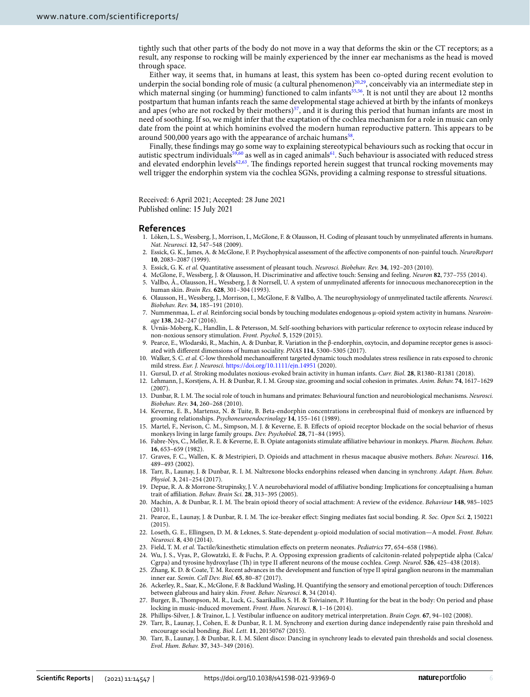tightly such that other parts of the body do not move in a way that deforms the skin or the CT receptors; as a result, any response to rocking will be mainly experienced by the inner ear mechanisms as the head is moved through space.

Either way, it seems that, in humans at least, this system has been co-opted during recent evolution to underpin the social bonding role of music (a cultural phenomenon)<sup>20[,29](#page-5-23)</sup>, conceivably via an intermediate step in which maternal singing (or humming) functioned to calm infants<sup>[55,](#page-6-20)56</sup>. It is not until they are about 12 months postpartum that human infants reach the same developmental stage achieved at birth by the infants of monkeys and apes (who are not rocked by their mothers) $57$ , and it is during this period that human infants are most in need of soothing. If so, we might infer that the exaptation of the cochlea mechanism for a role in music can only date from the point at which hominins evolved the modern human reproductive pattern. Tis appears to be around 500,000 years ago with the appearance of archaic humans<sup>[58](#page-6-23)</sup>.

Finally, these fndings may go some way to explaining stereotypical behaviours such as rocking that occur in autistic spectrum individuals<sup>[59,](#page-6-24)60</sup> as well as in caged animals<sup>[61](#page-6-26)</sup>. Such behaviour is associated with reduced stress and elevated endorphin levels<sup>[62,](#page-6-27)63</sup>. The findings reported herein suggest that truncal rocking movements may well trigger the endorphin system via the cochlea SGNs, providing a calming response to stressful situations.

Received: 6 April 2021; Accepted: 28 June 2021

### **References**

- <span id="page-5-0"></span>1. Löken, L. S., Wessberg, J., Morrison, I., McGlone, F. & Olausson, H. Coding of pleasant touch by unmyelinated aferents in humans. *Nat. Neurosci.* **12**, 547–548 (2009).
- 2. Essick, G. K., James, A. & McGlone, F. P. Psychophysical assessment of the afective components of non-painful touch. *NeuroReport* **10**, 2083–2087 (1999).
- <span id="page-5-1"></span>3. Essick, G. K. *et al.* Quantitative assessment of pleasant touch. *Neurosci. Biobehav. Rev.* **34**, 192–203 (2010).
- <span id="page-5-2"></span>4. McGlone, F., Wessberg, J. & Olausson, H. Discriminative and afective touch: Sensing and feeling. *Neuron* **82**, 737–755 (2014).
- <span id="page-5-3"></span>5. Vallbo, Å., Olausson, H., Wessberg, J. & Norrsell, U. A system of unmyelinated aferents for innocuous mechanoreception in the human skin. *Brain Res.* **628**, 301–304 (1993).
- <span id="page-5-4"></span>6. Olausson, H., Wessberg, J., Morrison, I., McGlone, F. & Vallbo, A. Te neurophysiology of unmyelinated tactile aferents. *Neurosci. Biobehav. Rev.* **34**, 185–191 (2010).
- <span id="page-5-5"></span>7. Nummenmaa, L. *et al.* Reinforcing social bonds by touching modulates endogenous µ-opioid system activity in humans. *Neuroimage* **138**, 242–247 (2016).
- <span id="page-5-6"></span>8. Uvnäs-Moberg, K., Handlin, L. & Petersson, M. Self-soothing behaviors with particular reference to oxytocin release induced by non-noxious sensory stimulation. *Front. Psychol.* **5**, 1529 (2015).
- <span id="page-5-7"></span>9. Pearce, E., Wlodarski, R., Machin, A. & Dunbar, R. Variation in the β-endorphin, oxytocin, and dopamine receptor genes is associated with diferent dimensions of human sociality. *PNAS* **114**, 5300–5305 (2017).
- <span id="page-5-8"></span>10. Walker, S. C. *et al.* C-low threshold mechanoaferent targeted dynamic touch modulates stress resilience in rats exposed to chronic mild stress. *Eur. J. Neurosci.* <https://doi.org/10.1111/ejn.14951> (2020).
- <span id="page-5-9"></span>11. Gursul, D. *et al.* Stroking modulates noxious-evoked brain activity in human infants. *Curr. Biol.* **28**, R1380–R1381 (2018).
- <span id="page-5-10"></span>12. Lehmann, J., Korstjens, A. H. & Dunbar, R. I. M. Group size, grooming and social cohesion in primates. *Anim. Behav.* **74**, 1617–1629 (2007).
- <span id="page-5-11"></span>13. Dunbar, R. I. M. Te social role of touch in humans and primates: Behavioural function and neurobiological mechanisms. *Neurosci. Biobehav. Rev.* **34**, 260–268 (2010).
- <span id="page-5-12"></span>14. Keverne, E. B., Martensz, N. & Tuite, B. Beta-endorphin concentrations in cerebrospinal fuid of monkeys are infuenced by grooming relationships. *Psychoneuroendocrinology* **14**, 155–161 (1989).
- 15. Martel, F., Nevison, C. M., Simpson, M. J. & Keverne, E. B. Efects of opioid receptor blockade on the social behavior of rhesus monkeys living in large family groups. *Dev. Psychobiol.* **28**, 71–84 (1995).
- 16. Fabre-Nys, C., Meller, R. E. & Keverne, E. B. Opiate antagonists stimulate afliative behaviour in monkeys. *Pharm. Biochem. Behav.* **16**, 653–659 (1982).
- <span id="page-5-13"></span>17. Graves, F. C., Wallen, K. & Mestripieri, D. Opioids and attachment in rhesus macaque abusive mothers. *Behav. Neurosci.* **116**, 489–493 (2002).
- <span id="page-5-14"></span>18. Tarr, B., Launay, J. & Dunbar, R. I. M. Naltrexone blocks endorphins released when dancing in synchrony. *Adapt. Hum. Behav. Physiol.* **3**, 241–254 (2017).
- <span id="page-5-15"></span>19. Depue, R. A. & Morrone-Strupinsky, J. V. A neurobehavioral model of afliative bonding: Implications for conceptualising a human trait of afliation. *Behav. Brain Sci.* **28**, 313–395 (2005).
- <span id="page-5-26"></span>20. Machin, A. & Dunbar, R. I. M. Te brain opioid theory of social attachment: A review of the evidence. *Behaviour* **148**, 985–1025 (2011).
- <span id="page-5-25"></span>21. Pearce, E., Launay, J. & Dunbar, R. I. M. Te ice-breaker efect: Singing mediates fast social bonding. *R. Soc. Open Sci.* **2**, 150221 (2015).
- <span id="page-5-16"></span>22. Loseth, G. E., Ellingsen, D. M. & Leknes, S. State-dependent µ-opioid modulation of social motivation—A model. *Front. Behav. Neurosci.* **8**, 430 (2014).
- <span id="page-5-17"></span>23. Field, T. M. *et al.* Tactile/kinesthetic stimulation efects on preterm neonates. *Pediatrics* **77**, 654–658 (1986).
- <span id="page-5-18"></span>24. Wu, J. S., Vyas, P., Glowatzki, E. & Fuchs, P. A. Opposing expression gradients of calcitonin-related polypeptide alpha (Calca/ Cgrpa) and tyrosine hydroxylase (T) in type II aferent neurons of the mouse cochlea. *Comp. Neurol.* **526**, 425–438 (2018).
- <span id="page-5-19"></span>25. Zhang, K. D. & Coate, T. M. Recent advances in the development and function of type II spiral ganglion neurons in the mammalian inner ear. *Semin. Cell Dev. Biol.* **65**, 80–87 (2017).
- <span id="page-5-20"></span>26. Ackerley, R., Saar, K., McGlone, F. & Backlund Wasling, H. Quantifying the sensory and emotional perception of touch: Diferences between glabrous and hairy skin. *Front. Behav. Neurosci.* **8**, 34 (2014).
- <span id="page-5-21"></span>27. Burger, B., Tompson, M. R., Luck, G., Saarikallio, S. H. & Toiviainen, P. Hunting for the beat in the body: On period and phase locking in music-induced movement. *Front. Hum. Neurosci.* **8**, 1–16 (2014).
- <span id="page-5-22"></span>28. Phillips-Silver, J. & Trainor, L. J. Vestibular infuence on auditory metrical interpretation. *Brain Cogn.* **67**, 94–102 (2008).
- <span id="page-5-23"></span>29. Tarr, B., Launay, J., Cohen, E. & Dunbar, R. I. M. Synchrony and exertion during dance independently raise pain threshold and encourage social bonding. *Biol. Lett.* **11**, 20150767 (2015).
- <span id="page-5-24"></span>30. Tarr, B., Launay, J. & Dunbar, R. I. M. Silent disco: Dancing in synchrony leads to elevated pain thresholds and social closeness. *Evol. Hum. Behav.* **37**, 343–349 (2016).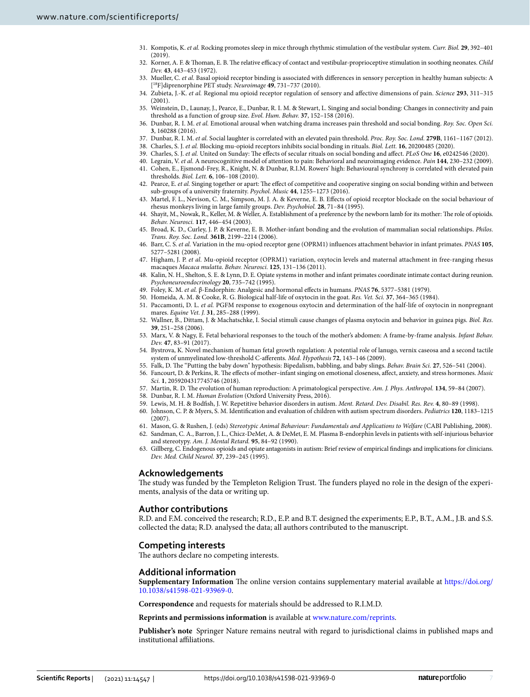- <span id="page-6-0"></span>31. Kompotis, K. *et al.* Rocking promotes sleep in mice through rhythmic stimulation of the vestibular system. *Curr. Biol.* **29**, 392–401 (2019).
- <span id="page-6-1"></span>Korner, A. F. & Thoman, E. B. The relative efficacy of contact and vestibular-proprioceptive stimulation in soothing neonates. *Child Dev.* **43**, 443–453 (1972).
- <span id="page-6-2"></span>33. Mueller, C. *et al.* Basal opioid receptor binding is associated with diferences in sensory perception in healthy human subjects: A [18F]diprenorphine PET study. *Neuroimage* **49**, 731–737 (2010).
- <span id="page-6-3"></span>34. Zubieta, J.-K. *et al.* Regional mu opioid receptor regulation of sensory and afective dimensions of pain. *Science* **293**, 311–315  $(2001)$
- <span id="page-6-4"></span>35. Weinstein, D., Launay, J., Pearce, E., Dunbar, R. I. M. & Stewart, L. Singing and social bonding: Changes in connectivity and pain threshold as a function of group size. *Evol. Hum. Behav.* **37**, 152–158 (2016).
- <span id="page-6-5"></span>36. Dunbar, R. I. M. *et al.* Emotional arousal when watching drama increases pain threshold and social bonding. *Roy. Soc. Open Sci.* **3**, 160288 (2016).
- <span id="page-6-6"></span>37. Dunbar, R. I. M. *et al.* Social laughter is correlated with an elevated pain threshold. *Proc. Roy. Soc. Lond.* **279B**, 1161–1167 (2012).
- <span id="page-6-7"></span>38. Charles, S. J. *et al.* Blocking mu-opioid receptors inhibits social bonding in rituals. *Biol. Lett.* **16**, 20200485 (2020).
- <span id="page-6-8"></span>39. Charles, S. J. *et al.* United on Sunday: Te efects of secular rituals on social bonding and afect. *PLoS One* **16**, e0242546 (2020).
- <span id="page-6-9"></span>40. Legrain, V. *et al.* A neurocognitive model of attention to pain: Behavioral and neuroimaging evidence. *Pain* **144**, 230–232 (2009).
- <span id="page-6-10"></span>41. Cohen, E., Ejsmond-Frey, R., Knight, N. & Dunbar, R.I.M. Rowers' high: Behavioural synchrony is correlated with elevated pain thresholds. *Biol. Lett.* **6**, 106–108 (2010).
- <span id="page-6-11"></span>42. Pearce, E. et al. Singing together or apart: The effect of competitive and cooperative singing on social bonding within and between sub-groups of a university fraternity. *Psychol. Music* **44**, 1255–1273 (2016).
- <span id="page-6-12"></span>43. Martel, F. L., Nevison, C. M., Simpson, M. J. A. & Keverne, E. B. Efects of opioid receptor blockade on the social behaviour of rhesus monkeys living in large family groups. *Dev. Psychobiol.* **28**, 71–84 (1995).
- 44. Shayit, M., Nowak, R., Keller, M. & Weller, A. Establishment of a preference by the newborn lamb for its mother: The role of opioids. *Behav. Neurosci.* **117**, 446–454 (2003).
- 45. Broad, K. D., Curley, J. P. & Keverne, E. B. Mother-infant bonding and the evolution of mammalian social relationships. *Philos. Trans. Roy. Soc. Lond.* **361B**, 2199–2214 (2006).
- 46. Barr, C. S. *et al.* Variation in the mu-opiod receptor gene (OPRM1) infuences attachment behavior in infant primates. *PNAS* **105**, 5277–5281 (2008).
- 47. Higham, J. P. *et al.* Mu-opioid receptor (OPRM1) variation, oxytocin levels and maternal attachment in free-ranging rhesus macaques *Macaca mulatta*. *Behav. Neurosci.* **125**, 131–136 (2011).
- <span id="page-6-13"></span>48. Kalin, N. H., Shelton, S. E. & Lynn, D. E. Opiate systems in mother and infant primates coordinate intimate contact during reunion. *Psychoneuroendocrinology* **20**, 735–742 (1995).
- <span id="page-6-14"></span>49. Foley, K. M. *et al.* β-Endorphin: Analgesic and hormonal efects in humans. *PNAS* **76**, 5377–5381 (1979).
- <span id="page-6-15"></span>50. Homeida, A. M. & Cooke, R. G. Biological half-life of oxytocin in the goat. *Res. Vet. Sci.* **37**, 364–365 (1984).
- <span id="page-6-16"></span>51. Paccamonti, D. L. *et al.* PGFM response to exogenous oxytocin and determination of the half-life of oxytocin in nonpregnant mares. *Equine Vet. J.* **31**, 285–288 (1999).
- <span id="page-6-17"></span>52. Wallner, B., Dittam, J. & Machatschke, I. Social stimuli cause changes of plasma oxytocin and behavior in guinea pigs. *Biol. Res.* **39**, 251–258 (2006).
- <span id="page-6-18"></span>53. Marx, V. & Nagy, E. Fetal behavioral responses to the touch of the mother's abdomen: A frame-by-frame analysis. *Infant Behav. Dev.* **47**, 83–91 (2017).
- <span id="page-6-19"></span>54. Bystrova, K. Novel mechanism of human fetal growth regulation: A potential role of lanugo, vernix caseosa and a second tactile system of unmyelinated low-threshold C-aferents. *Med. Hypothesis* **72**, 143–146 (2009).
- <span id="page-6-20"></span>55. Falk, D. Te "Putting the baby down" hypothesis: Bipedalism, babbling, and baby slings. *Behav. Brain Sci.* **27**, 526–541 (2004).
- <span id="page-6-21"></span>56. Fancourt, D. & Perkins, R. Te efects of mother–infant singing on emotional closeness, afect, anxiety, and stress hormones. *Music Sci.* **1**, 2059204317745746 (2018).
- <span id="page-6-22"></span>57. Martin, R. D. Te evolution of human reproduction: A primatological perspective. *Am. J. Phys. Anthropol.* **134**, 59–84 (2007).
- <span id="page-6-23"></span>58. Dunbar, R. I. M. *Human Evolution* (Oxford University Press, 2016).
- <span id="page-6-24"></span>59. Lewis, M. H. & Bodfsh, J. W. Repetitive behavior disorders in autism. *Ment. Retard. Dev. Disabil. Res. Rev.* **4**, 80–89 (1998).
- <span id="page-6-25"></span>60. Johnson, C. P. & Myers, S. M. Identifcation and evaluation of children with autism spectrum disorders. *Pediatrics* **120**, 1183–1215 (2007).
- <span id="page-6-26"></span>61. Mason, G. & Rushen, J. (eds) *Stereotypic Animal Behaviour: Fundamentals and Applications to Welfare* (CABI Publishing, 2008).
- <span id="page-6-27"></span>62. Sandman, C. A., Barron, J. L., Chicz-DeMet, A. & DeMet, E. M. Plasma B-endorphin levels in patients with self-injurious behavior and stereotypy. *Am. J. Mental Retard.* **95**, 84–92 (1990).
- <span id="page-6-28"></span>63. Gillberg, C. Endogenous opioids and opiate antagonists in autism: Brief review of empirical fndings and implications for clinicians. *Dev. Med. Child Neurol.* **37**, 239–245 (1995).

# **Acknowledgements**

The study was funded by the Templeton Religion Trust. The funders played no role in the design of the experiments, analysis of the data or writing up.

# **Author contributions**

R.D. and F.M. conceived the research; R.D., E.P. and B.T. designed the experiments; E.P., B.T., A.M., J.B. and S.S. collected the data; R.D. analysed the data; all authors contributed to the manuscript.

# **Competing interests**

The authors declare no competing interests.

# **Additional information**

**Supplementary Information** The online version contains supplementary material available at [https://doi.org/](https://doi.org/10.1038/s41598-021-93969-0) [10.1038/s41598-021-93969-0](https://doi.org/10.1038/s41598-021-93969-0).

**Correspondence** and requests for materials should be addressed to R.I.M.D.

**Reprints and permissions information** is available at [www.nature.com/reprints.](www.nature.com/reprints)

**Publisher's note** Springer Nature remains neutral with regard to jurisdictional claims in published maps and institutional afliations.

7